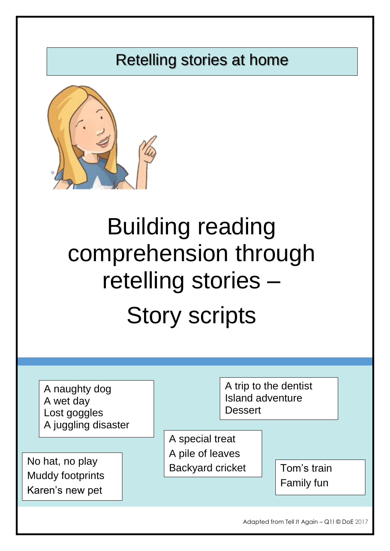## Retelling stories at home



# Building reading comprehension through retelling stories – Story scripts

|                                                               | A naughty dog<br>A wet day<br>Lost goggles<br>A juggling disaster |  | A trip to the dentist<br><b>Island adventure</b><br><b>Dessert</b> |  |  |             |  |
|---------------------------------------------------------------|-------------------------------------------------------------------|--|--------------------------------------------------------------------|--|--|-------------|--|
| No hat, no play<br><b>Muddy footprints</b><br>Karen's new pet |                                                                   |  | A special treat<br>A pile of leaves<br><b>Backyard cricket</b>     |  |  | Tom's train |  |
|                                                               |                                                                   |  |                                                                    |  |  | Family fun  |  |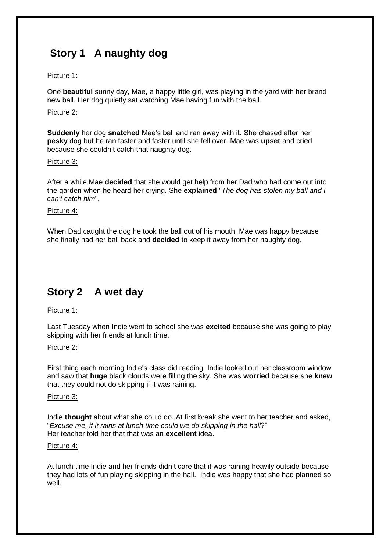## **Story 1 A naughty dog**

#### Picture 1:

One **beautiful** sunny day, Mae, a happy little girl, was playing in the yard with her brand new ball. Her dog quietly sat watching Mae having fun with the ball.

#### Picture 2:

**Suddenly** her dog **snatched** Mae's ball and ran away with it. She chased after her **pesky** dog but he ran faster and faster until she fell over. Mae was **upset** and cried because she couldn't catch that naughty dog.

#### Picture 3:

After a while Mae **decided** that she would get help from her Dad who had come out into the garden when he heard her crying. She **explained** "*The dog has stolen my ball and I can't catch him*".

#### Picture 4:

When Dad caught the dog he took the ball out of his mouth. Mae was happy because she finally had her ball back and **decided** to keep it away from her naughty dog.

### **Story 2 A wet day**

#### Picture 1:

Last Tuesday when Indie went to school she was **excited** because she was going to play skipping with her friends at lunch time.

#### Picture 2:

First thing each morning Indie's class did reading. Indie looked out her classroom window and saw that **huge** black clouds were filling the sky. She was **worried** because she **knew** that they could not do skipping if it was raining.

#### Picture 3:

Indie **thought** about what she could do. At first break she went to her teacher and asked, "*Excuse me, if it rains at lunch time could we do skipping in the hall*?" Her teacher told her that that was an **excellent** idea.

#### Picture 4:

At lunch time Indie and her friends didn't care that it was raining heavily outside because they had lots of fun playing skipping in the hall. Indie was happy that she had planned so well.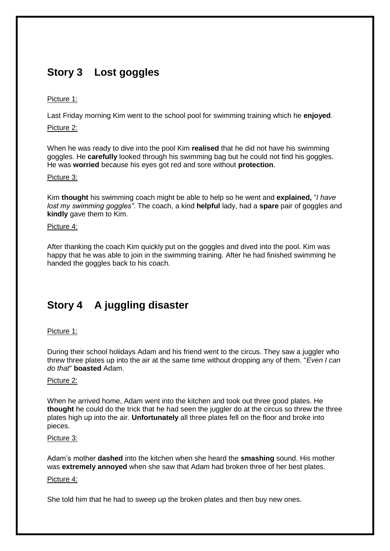## **Story 3 Lost goggles**

#### Picture 1:

Last Friday morning Kim went to the school pool for swimming training which he **enjoyed**.

Picture 2:

When he was ready to dive into the pool Kim **realised** that he did not have his swimming goggles. He **carefully** looked through his swimming bag but he could not find his goggles. He was **worried** because his eyes got red and sore without **protection**.

#### Picture 3:

Kim **thought** his swimming coach might be able to help so he went and **explained,** "*I have lost my swimming goggles"*. The coach, a kind **helpful** lady, had a **spare** pair of goggles and **kindly** gave them to Kim.

#### Picture 4:

After thanking the coach Kim quickly put on the goggles and dived into the pool. Kim was happy that he was able to join in the swimming training. After he had finished swimming he handed the goggles back to his coach.

## **Story 4 A juggling disaster**

#### Picture 1:

During their school holidays Adam and his friend went to the circus. They saw a juggler who threw three plates up into the air at the same time without dropping any of them. "*Even I can do that*" **boasted** Adam.

#### Picture 2:

When he arrived home, Adam went into the kitchen and took out three good plates. He **thought** he could do the trick that he had seen the juggler do at the circus so threw the three plates high up into the air. **Unfortunately** all three plates fell on the floor and broke into pieces.

#### Picture 3:

Adam's mother **dashed** into the kitchen when she heard the **smashing** sound. His mother was **extremely annoyed** when she saw that Adam had broken three of her best plates.

#### Picture 4:

She told him that he had to sweep up the broken plates and then buy new ones.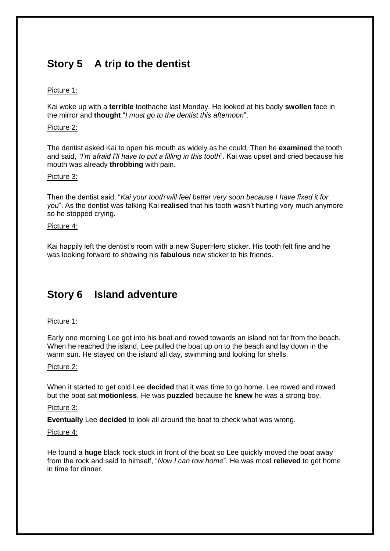## **Story 5 A trip to the dentist**

#### Picture 1:

Kai woke up with a **terrible** toothache last Monday. He looked at his badly **swollen** face in the mirror and **thought** "*I must go to the dentist this afternoon*".

#### Picture 2:

The dentist asked Kai to open his mouth as widely as he could. Then he **examined** the tooth and said, "*I'm afraid I'll have to put a filling in this tooth*". Kai was upset and cried because his mouth was already **throbbing** with pain.

#### Picture 3:

Then the dentist said, "*Kai your tooth will feel better very soon because I have fixed it for you*". As the dentist was talking Kai **realised** that his tooth wasn't hurting very much anymore so he stopped crying.

#### Picture 4:

Kai happily left the dentist's room with a new SuperHero sticker. His tooth felt fine and he was looking forward to showing his **fabulous** new sticker to his friends.

## **Story 6 Island adventure**

#### Picture 1:

Early one morning Lee got into his boat and rowed towards an island not far from the beach. When he reached the island, Lee pulled the boat up on to the beach and lay down in the warm sun. He stayed on the island all day, swimming and looking for shells.

#### Picture 2:

When it started to get cold Lee **decided** that it was time to go home. Lee rowed and rowed but the boat sat **motionless**. He was **puzzled** because he **knew** he was a strong boy.

#### Picture 3:

**Eventually** Lee **decided** to look all around the boat to check what was wrong.

#### Picture 4:

He found a **huge** black rock stuck in front of the boat so Lee quickly moved the boat away from the rock and said to himself, "*Now I can row home*". He was most **relieved** to get home in time for dinner.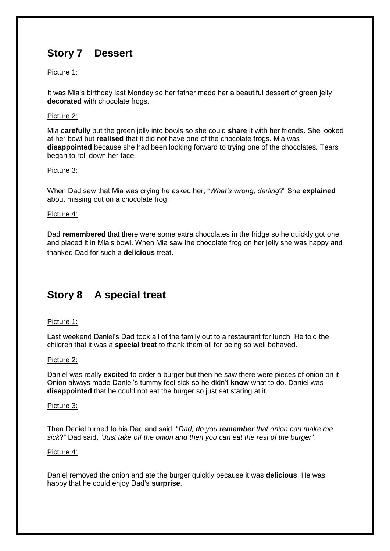## **Story 7 Dessert**

#### Picture 1:

It was Mia's birthday last Monday so her father made her a beautiful dessert of green jelly **decorated** with chocolate frogs.

#### Picture 2:

Mia **carefully** put the green jelly into bowls so she could **share** it with her friends. She looked at her bowl but **realised** that it did not have one of the chocolate frogs. Mia was **disappointed** because she had been looking forward to trying one of the chocolates. Tears began to roll down her face.

#### Picture 3:

When Dad saw that Mia was crying he asked her, "*What's wrong, darling*?" She **explained** about missing out on a chocolate frog.

#### Picture 4:

Dad **remembered** that there were some extra chocolates in the fridge so he quickly got one and placed it in Mia's bowl. When Mia saw the chocolate frog on her jelly she was happy and thanked Dad for such a **delicious** treat.

## **Story 8 A special treat**

#### Picture 1:

Last weekend Daniel's Dad took all of the family out to a restaurant for lunch. He told the children that it was a **special treat** to thank them all for being so well behaved.

#### Picture 2:

Daniel was really **excited** to order a burger but then he saw there were pieces of onion on it. Onion always made Daniel's tummy feel sick so he didn't **know** what to do. Daniel was **disappointed** that he could not eat the burger so just sat staring at it.

#### Picture 3:

Then Daniel turned to his Dad and said, "*Dad, do you remember that onion can make me sick*?" Dad said, "*Just take off the onion and then you can eat the rest of the burger*".

#### Picture 4:

Daniel removed the onion and ate the burger quickly because it was **delicious**. He was happy that he could enjoy Dad's **surprise**.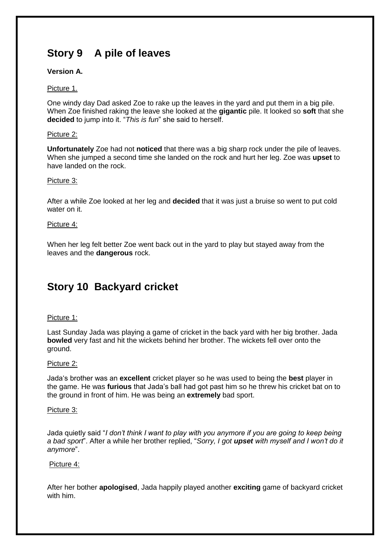## **Story 9 A pile of leaves**

#### **Version A.**

#### Picture 1.

One windy day Dad asked Zoe to rake up the leaves in the yard and put them in a big pile. When Zoe finished raking the leave she looked at the **gigantic** pile. It looked so **soft** that she **decided** to jump into it. "*This is fun*" she said to herself.

#### Picture 2:

**Unfortunately** Zoe had not **noticed** that there was a big sharp rock under the pile of leaves. When she jumped a second time she landed on the rock and hurt her leg. Zoe was **upset** to have landed on the rock.

#### Picture 3:

After a while Zoe looked at her leg and **decided** that it was just a bruise so went to put cold water on it.

#### Picture 4:

When her leg felt better Zoe went back out in the yard to play but stayed away from the leaves and the **dangerous** rock.

## **Story 10 Backyard cricket**

#### Picture 1:

Last Sunday Jada was playing a game of cricket in the back yard with her big brother. Jada **bowled** very fast and hit the wickets behind her brother. The wickets fell over onto the ground.

#### Picture 2:

Jada's brother was an **excellent** cricket player so he was used to being the **best** player in the game. He was **furious** that Jada's ball had got past him so he threw his cricket bat on to the ground in front of him. He was being an **extremely** bad sport.

#### Picture 3:

Jada quietly said "*I don't think I want to play with you anymore if you are going to keep being a bad sport*". After a while her brother replied, "*Sorry, I got upset with myself and I won't do it anymore*".

#### Picture 4:

After her bother **apologised**, Jada happily played another **exciting** game of backyard cricket with him.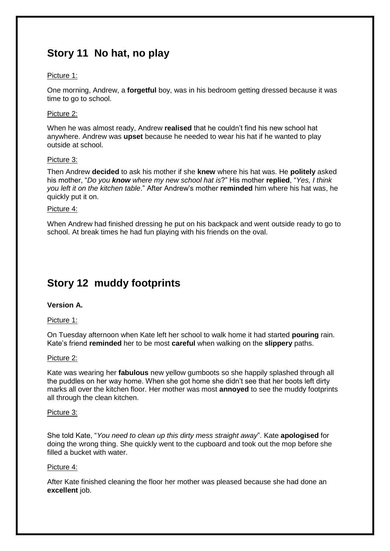## **Story 11 No hat, no play**

#### Picture 1:

One morning, Andrew, a **forgetful** boy, was in his bedroom getting dressed because it was time to go to school.

#### Picture 2:

When he was almost ready, Andrew **realised** that he couldn't find his new school hat anywhere. Andrew was **upset** because he needed to wear his hat if he wanted to play outside at school.

#### Picture 3:

Then Andrew **decided** to ask his mother if she **knew** where his hat was. He **politely** asked his mother, "*Do you know where my new school hat is*?" His mother **replied**, "*Yes, I think you left it on the kitchen table*." After Andrew's mother **reminded** him where his hat was, he quickly put it on.

#### Picture 4:

When Andrew had finished dressing he put on his backpack and went outside ready to go to school. At break times he had fun playing with his friends on the oval.

## **Story 12 muddy footprints**

#### **Version A.**

#### Picture 1:

On Tuesday afternoon when Kate left her school to walk home it had started **pouring** rain. Kate's friend **reminded** her to be most **careful** when walking on the **slippery** paths.

#### Picture 2:

Kate was wearing her **fabulous** new yellow gumboots so she happily splashed through all the puddles on her way home. When she got home she didn't see that her boots left dirty marks all over the kitchen floor. Her mother was most **annoyed** to see the muddy footprints all through the clean kitchen.

#### Picture 3:

She told Kate, "*You need to clean up this dirty mess straight away*". Kate **apologised** for doing the wrong thing. She quickly went to the cupboard and took out the mop before she filled a bucket with water.

#### Picture 4:

After Kate finished cleaning the floor her mother was pleased because she had done an **excellent** job.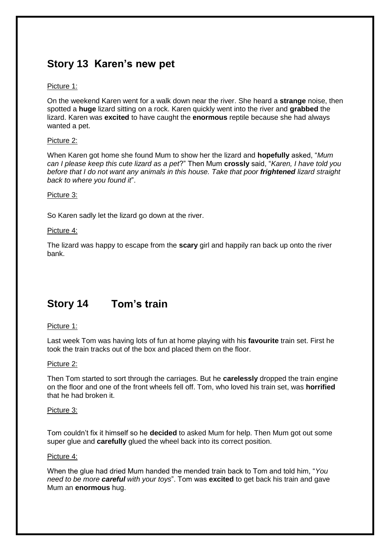## **Story 13 Karen's new pet**

#### Picture 1:

On the weekend Karen went for a walk down near the river. She heard a **strange** noise, then spotted a **huge** lizard sitting on a rock. Karen quickly went into the river and **grabbed** the lizard. Karen was **excited** to have caught the **enormous** reptile because she had always wanted a pet.

#### Picture 2:

When Karen got home she found Mum to show her the lizard and **hopefully** asked, "*Mum can I please keep this cute lizard as a pet*?" Then Mum **crossly** said, "*Karen, I have told you before that I do not want any animals in this house. Take that poor frightened lizard straight back to where you found it*".

#### Picture 3:

So Karen sadly let the lizard go down at the river.

#### Picture 4:

The lizard was happy to escape from the **scary** girl and happily ran back up onto the river bank.

## **Story 14 Tom's train**

#### Picture 1:

Last week Tom was having lots of fun at home playing with his **favourite** train set. First he took the train tracks out of the box and placed them on the floor.

#### Picture 2:

Then Tom started to sort through the carriages. But he **carelessly** dropped the train engine on the floor and one of the front wheels fell off. Tom, who loved his train set, was **horrified** that he had broken it.

#### Picture 3:

Tom couldn't fix it himself so he **decided** to asked Mum for help. Then Mum got out some super glue and **carefully** glued the wheel back into its correct position.

#### Picture 4:

When the glue had dried Mum handed the mended train back to Tom and told him, "*You need to be more careful with your toys*". Tom was **excited** to get back his train and gave Mum an **enormous** hug.